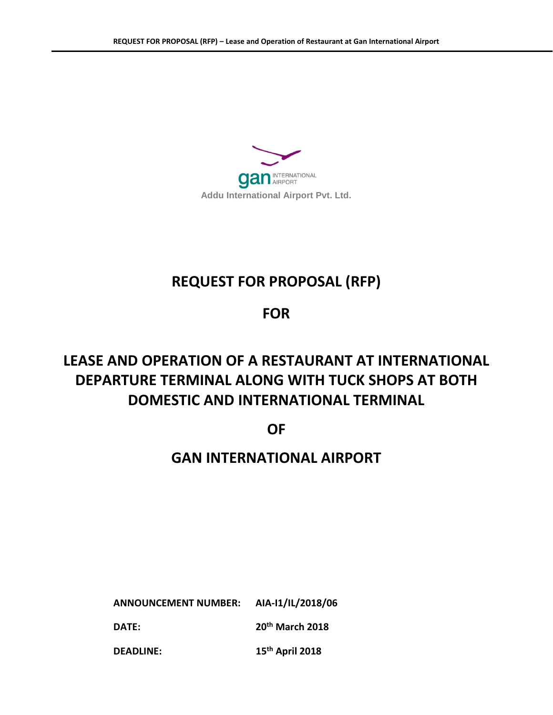

# **REQUEST FOR PROPOSAL (RFP)**

## **FOR**

# **LEASE AND OPERATION OF A RESTAURANT AT INTERNATIONAL DEPARTURE TERMINAL ALONG WITH TUCK SHOPS AT BOTH DOMESTIC AND INTERNATIONAL TERMINAL**

**OF**

## **GAN INTERNATIONAL AIRPORT**

**ANNOUNCEMENT NUMBER: AIA-I1/IL/2018/06 DATE: 20th March 2018** 

**DEADLINE: 15th April 2018**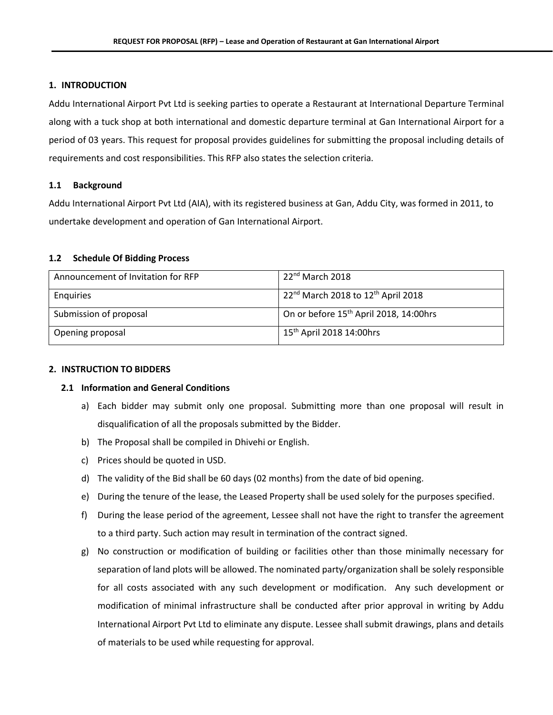#### **1. INTRODUCTION**

Addu International Airport Pvt Ltd is seeking parties to operate a Restaurant at International Departure Terminal along with a tuck shop at both international and domestic departure terminal at Gan International Airport for a period of 03 years. This request for proposal provides guidelines for submitting the proposal including details of requirements and cost responsibilities. This RFP also states the selection criteria.

#### **1.1 Background**

Addu International Airport Pvt Ltd (AIA), with its registered business at Gan, Addu City, was formed in 2011, to undertake development and operation of Gan International Airport.

#### **1.2 Schedule Of Bidding Process**

| Announcement of Invitation for RFP | $22nd$ March 2018                                   |
|------------------------------------|-----------------------------------------------------|
| Enguiries                          | $22^{nd}$ March 2018 to 12 <sup>th</sup> April 2018 |
| Submission of proposal             | On or before 15 <sup>th</sup> April 2018, 14:00hrs  |
| Opening proposal                   | 15 <sup>th</sup> April 2018 14:00hrs                |

#### **2. INSTRUCTION TO BIDDERS**

#### **2.1 Information and General Conditions**

- a) Each bidder may submit only one proposal. Submitting more than one proposal will result in disqualification of all the proposals submitted by the Bidder.
- b) The Proposal shall be compiled in Dhivehi or English.
- c) Prices should be quoted in USD.
- d) The validity of the Bid shall be 60 days (02 months) from the date of bid opening.
- e) During the tenure of the lease, the Leased Property shall be used solely for the purposes specified.
- f) During the lease period of the agreement, Lessee shall not have the right to transfer the agreement to a third party. Such action may result in termination of the contract signed.
- g) No construction or modification of building or facilities other than those minimally necessary for separation of land plots will be allowed. The nominated party/organization shall be solely responsible for all costs associated with any such development or modification. Any such development or modification of minimal infrastructure shall be conducted after prior approval in writing by Addu International Airport Pvt Ltd to eliminate any dispute. Lessee shall submit drawings, plans and details of materials to be used while requesting for approval.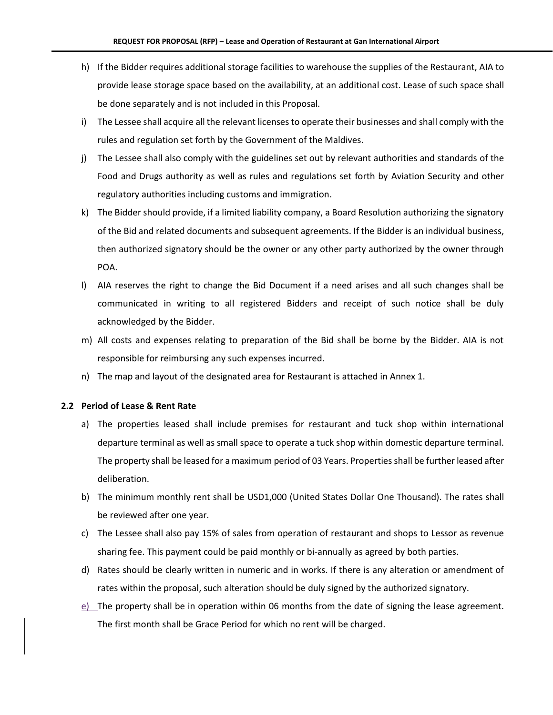- h) If the Bidder requires additional storage facilities to warehouse the supplies of the Restaurant, AIA to provide lease storage space based on the availability, at an additional cost. Lease of such space shall be done separately and is not included in this Proposal.
- i) The Lessee shall acquire all the relevant licenses to operate their businesses and shall comply with the rules and regulation set forth by the Government of the Maldives.
- j) The Lessee shall also comply with the guidelines set out by relevant authorities and standards of the Food and Drugs authority as well as rules and regulations set forth by Aviation Security and other regulatory authorities including customs and immigration.
- k) The Bidder should provide, if a limited liability company, a Board Resolution authorizing the signatory of the Bid and related documents and subsequent agreements. If the Bidder is an individual business, then authorized signatory should be the owner or any other party authorized by the owner through POA.
- l) AIA reserves the right to change the Bid Document if a need arises and all such changes shall be communicated in writing to all registered Bidders and receipt of such notice shall be duly acknowledged by the Bidder.
- m) All costs and expenses relating to preparation of the Bid shall be borne by the Bidder. AIA is not responsible for reimbursing any such expenses incurred.
- n) The map and layout of the designated area for Restaurant is attached in Annex 1.

#### **2.2 Period of Lease & Rent Rate**

- a) The properties leased shall include premises for restaurant and tuck shop within international departure terminal as well as small space to operate a tuck shop within domestic departure terminal. The property shall be leased for a maximum period of 03 Years. Properties shall be further leased after deliberation.
- b) The minimum monthly rent shall be USD1,000 (United States Dollar One Thousand). The rates shall be reviewed after one year.
- c) The Lessee shall also pay 15% of sales from operation of restaurant and shops to Lessor as revenue sharing fee. This payment could be paid monthly or bi-annually as agreed by both parties.
- d) Rates should be clearly written in numeric and in works. If there is any alteration or amendment of rates within the proposal, such alteration should be duly signed by the authorized signatory.
- $e$ ) The property shall be in operation within 06 months from the date of signing the lease agreement. The first month shall be Grace Period for which no rent will be charged.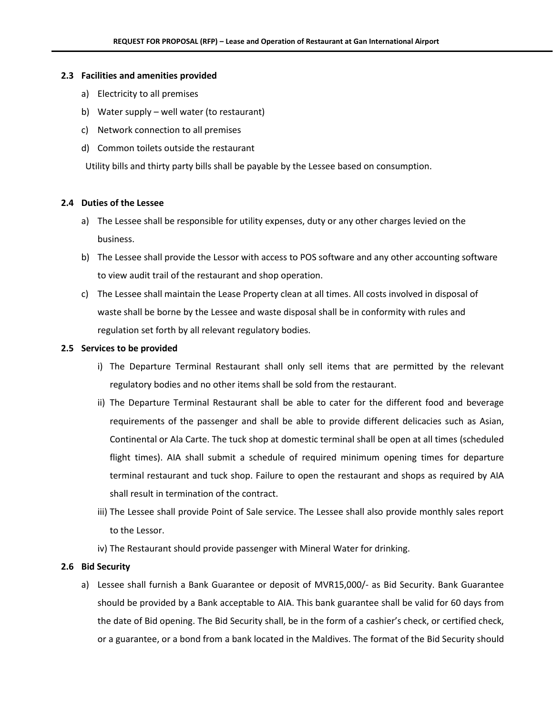#### **2.3 Facilities and amenities provided**

- a) Electricity to all premises
- b) Water supply well water (to restaurant)
- c) Network connection to all premises
- d) Common toilets outside the restaurant

Utility bills and thirty party bills shall be payable by the Lessee based on consumption.

#### **2.4 Duties of the Lessee**

- a) The Lessee shall be responsible for utility expenses, duty or any other charges levied on the business.
- b) The Lessee shall provide the Lessor with access to POS software and any other accounting software to view audit trail of the restaurant and shop operation.
- c) The Lessee shall maintain the Lease Property clean at all times. All costs involved in disposal of waste shall be borne by the Lessee and waste disposal shall be in conformity with rules and regulation set forth by all relevant regulatory bodies.

#### **2.5 Services to be provided**

- i) The Departure Terminal Restaurant shall only sell items that are permitted by the relevant regulatory bodies and no other items shall be sold from the restaurant.
- ii) The Departure Terminal Restaurant shall be able to cater for the different food and beverage requirements of the passenger and shall be able to provide different delicacies such as Asian, Continental or Ala Carte. The tuck shop at domestic terminal shall be open at all times (scheduled flight times). AIA shall submit a schedule of required minimum opening times for departure terminal restaurant and tuck shop. Failure to open the restaurant and shops as required by AIA shall result in termination of the contract.
- iii) The Lessee shall provide Point of Sale service. The Lessee shall also provide monthly sales report to the Lessor.
- iv) The Restaurant should provide passenger with Mineral Water for drinking.

#### **2.6 Bid Security**

a) Lessee shall furnish a Bank Guarantee or deposit of MVR15,000/- as Bid Security. Bank Guarantee should be provided by a Bank acceptable to AIA. This bank guarantee shall be valid for 60 days from the date of Bid opening. The Bid Security shall, be in the form of a cashier's check, or certified check, or a guarantee, or a bond from a bank located in the Maldives. The format of the Bid Security should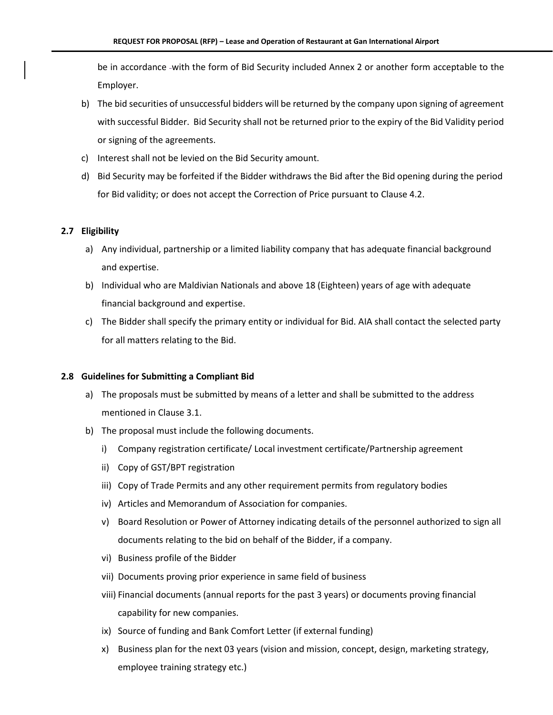be in accordance -with the form of Bid Security included Annex 2 or another form acceptable to the Employer.

- b) The bid securities of unsuccessful bidders will be returned by the company upon signing of agreement with successful Bidder. Bid Security shall not be returned prior to the expiry of the Bid Validity period or signing of the agreements.
- c) Interest shall not be levied on the Bid Security amount.
- d) Bid Security may be forfeited if the Bidder withdraws the Bid after the Bid opening during the period for Bid validity; or does not accept the Correction of Price pursuant to Clause 4.2.

#### **2.7 Eligibility**

- a) Any individual, partnership or a limited liability company that has adequate financial background and expertise.
- b) Individual who are Maldivian Nationals and above 18 (Eighteen) years of age with adequate financial background and expertise.
- c) The Bidder shall specify the primary entity or individual for Bid. AIA shall contact the selected party for all matters relating to the Bid.

#### **2.8 Guidelines for Submitting a Compliant Bid**

- a) The proposals must be submitted by means of a letter and shall be submitted to the address mentioned in Clause 3.1.
- b) The proposal must include the following documents.
	- i) Company registration certificate/ Local investment certificate/Partnership agreement
	- ii) Copy of GST/BPT registration
	- iii) Copy of Trade Permits and any other requirement permits from regulatory bodies
	- iv) Articles and Memorandum of Association for companies.
	- v) Board Resolution or Power of Attorney indicating details of the personnel authorized to sign all documents relating to the bid on behalf of the Bidder, if a company.
	- vi) Business profile of the Bidder
	- vii) Documents proving prior experience in same field of business
	- viii) Financial documents (annual reports for the past 3 years) or documents proving financial capability for new companies.
	- ix) Source of funding and Bank Comfort Letter (if external funding)
	- x) Business plan for the next 03 years (vision and mission, concept, design, marketing strategy, employee training strategy etc.)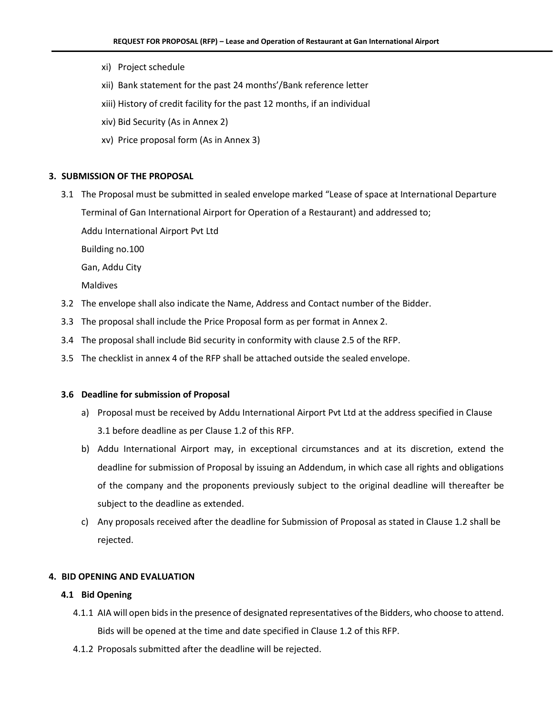- xi) Project schedule
- xii) Bank statement for the past 24 months'/Bank reference letter
- xiii) History of credit facility for the past 12 months, if an individual
- xiv) Bid Security (As in Annex 2)
- xv) Price proposal form (As in Annex 3)

#### **3. SUBMISSION OF THE PROPOSAL**

3.1 The Proposal must be submitted in sealed envelope marked "Lease of space at International Departure Terminal of Gan International Airport for Operation of a Restaurant) and addressed to;

Addu International Airport Pvt Ltd

Building no.100

Gan, Addu City

Maldives

- 3.2 The envelope shall also indicate the Name, Address and Contact number of the Bidder.
- 3.3 The proposal shall include the Price Proposal form as per format in Annex 2.
- 3.4 The proposal shall include Bid security in conformity with clause 2.5 of the RFP.
- 3.5 The checklist in annex 4 of the RFP shall be attached outside the sealed envelope.

#### **3.6 Deadline for submission of Proposal**

- a) Proposal must be received by Addu International Airport Pvt Ltd at the address specified in Clause 3.1 before deadline as per Clause 1.2 of this RFP.
- b) Addu International Airport may, in exceptional circumstances and at its discretion, extend the deadline for submission of Proposal by issuing an Addendum, in which case all rights and obligations of the company and the proponents previously subject to the original deadline will thereafter be subject to the deadline as extended.
- c) Any proposals received after the deadline for Submission of Proposal as stated in Clause 1.2 shall be rejected.

#### **4. BID OPENING AND EVALUATION**

#### **4.1 Bid Opening**

- 4.1.1 AIA will open bids in the presence of designated representatives of the Bidders, who choose to attend. Bids will be opened at the time and date specified in Clause 1.2 of this RFP.
- 4.1.2 Proposals submitted after the deadline will be rejected.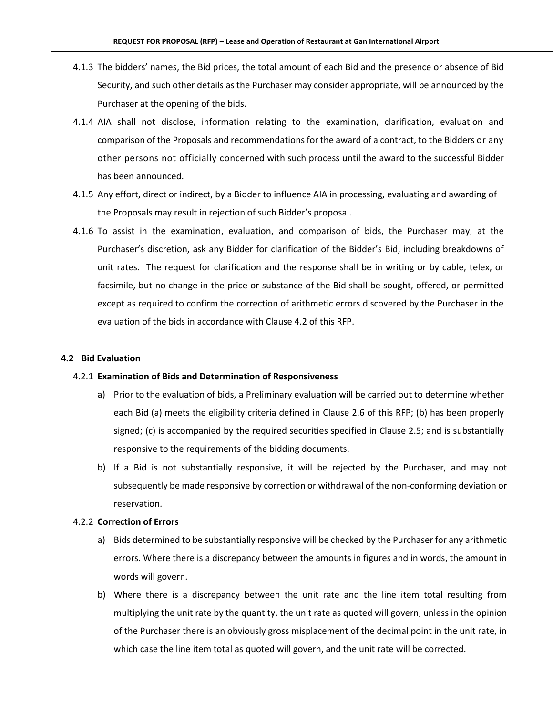- 4.1.3 The bidders' names, the Bid prices, the total amount of each Bid and the presence or absence of Bid Security, and such other details as the Purchaser may consider appropriate, will be announced by the Purchaser at the opening of the bids.
- 4.1.4 AIA shall not disclose, information relating to the examination, clarification, evaluation and comparison of the Proposals and recommendations for the award of a contract, to the Bidders or any other persons not officially concerned with such process until the award to the successful Bidder has been announced.
- 4.1.5 Any effort, direct or indirect, by a Bidder to influence AIA in processing, evaluating and awarding of the Proposals may result in rejection of such Bidder's proposal.
- 4.1.6 To assist in the examination, evaluation, and comparison of bids, the Purchaser may, at the Purchaser's discretion, ask any Bidder for clarification of the Bidder's Bid, including breakdowns of unit rates. The request for clarification and the response shall be in writing or by cable, telex, or facsimile, but no change in the price or substance of the Bid shall be sought, offered, or permitted except as required to confirm the correction of arithmetic errors discovered by the Purchaser in the evaluation of the bids in accordance with Clause 4.2 of this RFP.

#### **4.2 Bid Evaluation**

#### 4.2.1 **Examination of Bids and Determination of Responsiveness**

- a) Prior to the evaluation of bids, a Preliminary evaluation will be carried out to determine whether each Bid (a) meets the eligibility criteria defined in Clause 2.6 of this RFP; (b) has been properly signed; (c) is accompanied by the required securities specified in Clause 2.5; and is substantially responsive to the requirements of the bidding documents.
- b) If a Bid is not substantially responsive, it will be rejected by the Purchaser, and may not subsequently be made responsive by correction or withdrawal of the non-conforming deviation or reservation.

#### 4.2.2 **Correction of Errors**

- a) Bids determined to be substantially responsive will be checked by the Purchaser for any arithmetic errors. Where there is a discrepancy between the amounts in figures and in words, the amount in words will govern.
- b) Where there is a discrepancy between the unit rate and the line item total resulting from multiplying the unit rate by the quantity, the unit rate as quoted will govern, unless in the opinion of the Purchaser there is an obviously gross misplacement of the decimal point in the unit rate, in which case the line item total as quoted will govern, and the unit rate will be corrected.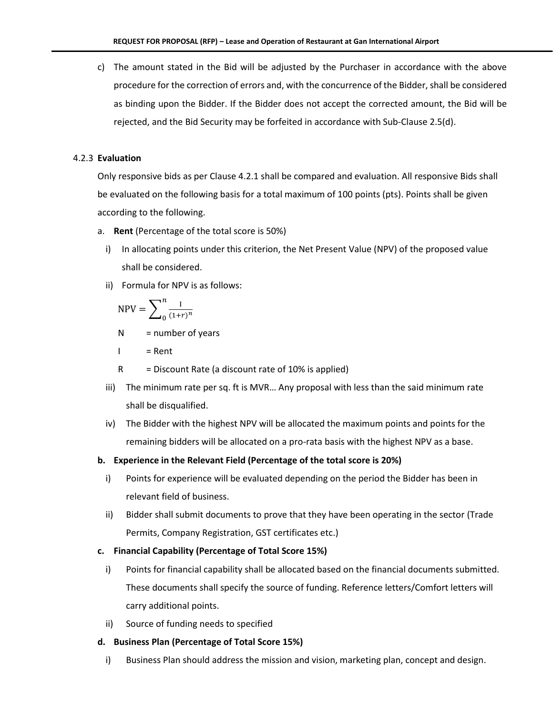c) The amount stated in the Bid will be adjusted by the Purchaser in accordance with the above procedure for the correction of errors and, with the concurrence of the Bidder, shall be considered as binding upon the Bidder. If the Bidder does not accept the corrected amount, the Bid will be rejected, and the Bid Security may be forfeited in accordance with Sub-Clause 2.5(d).

#### 4.2.3 **Evaluation**

Only responsive bids as per Clause 4.2.1 shall be compared and evaluation. All responsive Bids shall be evaluated on the following basis for a total maximum of 100 points (pts). Points shall be given according to the following.

- a. **Rent** (Percentage of the total score is 50%)
	- i) In allocating points under this criterion, the Net Present Value (NPV) of the proposed value shall be considered.
	- ii) Formula for NPV is as follows:

$$
\text{NPV} = \sum_{0}^{n} \frac{1}{(1+r)^n}
$$

 $N =$  number of years

$$
I = \text{Rent}
$$

 $R = Discount Rate$  (a discount rate of 10% is applied)

- iii) The minimum rate per sq. ft is MVR… Any proposal with less than the said minimum rate shall be disqualified.
- iv) The Bidder with the highest NPV will be allocated the maximum points and points for the remaining bidders will be allocated on a pro-rata basis with the highest NPV as a base.

#### **b. Experience in the Relevant Field (Percentage of the total score is 20%)**

- i) Points for experience will be evaluated depending on the period the Bidder has been in relevant field of business.
- ii) Bidder shall submit documents to prove that they have been operating in the sector (Trade Permits, Company Registration, GST certificates etc.)

#### **c. Financial Capability (Percentage of Total Score 15%)**

- i) Points for financial capability shall be allocated based on the financial documents submitted. These documents shall specify the source of funding. Reference letters/Comfort letters will carry additional points.
- ii) Source of funding needs to specified

#### **d. Business Plan (Percentage of Total Score 15%)**

i) Business Plan should address the mission and vision, marketing plan, concept and design.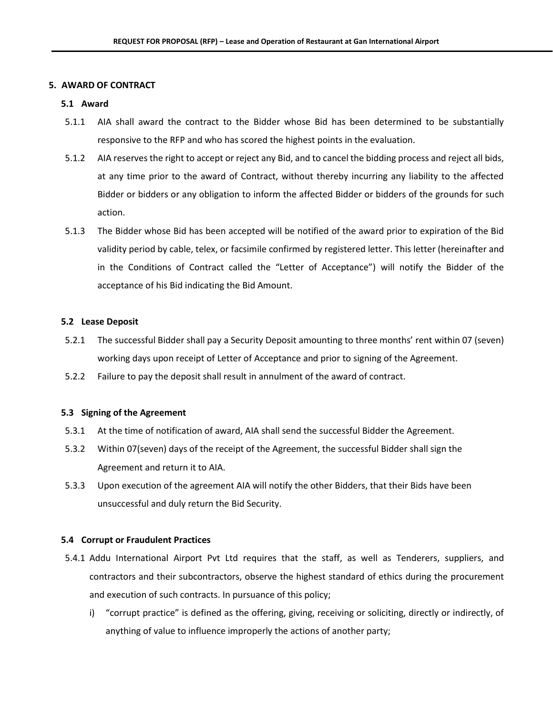#### **5. AWARD OF CONTRACT**

#### **5.1 Award**

- 5.1.1 AIA shall award the contract to the Bidder whose Bid has been determined to be substantially responsive to the RFP and who has scored the highest points in the evaluation.
- 5.1.2 AIA reserves the right to accept or reject any Bid, and to cancel the bidding process and reject all bids, at any time prior to the award of Contract, without thereby incurring any liability to the affected Bidder or bidders or any obligation to inform the affected Bidder or bidders of the grounds for such action.
- 5.1.3 The Bidder whose Bid has been accepted will be notified of the award prior to expiration of the Bid validity period by cable, telex, or facsimile confirmed by registered letter. This letter (hereinafter and in the Conditions of Contract called the "Letter of Acceptance") will notify the Bidder of the acceptance of his Bid indicating the Bid Amount.

#### **5.2 Lease Deposit**

- 5.2.1 The successful Bidder shall pay a Security Deposit amounting to three months' rent within 07 (seven) working days upon receipt of Letter of Acceptance and prior to signing of the Agreement.
- 5.2.2 Failure to pay the deposit shall result in annulment of the award of contract.

#### **5.3 Signing of the Agreement**

- 5.3.1 At the time of notification of award, AIA shall send the successful Bidder the Agreement.
- 5.3.2 Within 07(seven) days of the receipt of the Agreement, the successful Bidder shall sign the Agreement and return it to AIA.
- 5.3.3 Upon execution of the agreement AIA will notify the other Bidders, that their Bids have been unsuccessful and duly return the Bid Security.

#### **5.4 Corrupt or Fraudulent Practices**

- 5.4.1 Addu International Airport Pvt Ltd requires that the staff, as well as Tenderers, suppliers, and contractors and their subcontractors, observe the highest standard of ethics during the procurement and execution of such contracts. In pursuance of this policy;
	- i) "corrupt practice" is defined as the offering, giving, receiving or soliciting, directly or indirectly, of anything of value to influence improperly the actions of another party;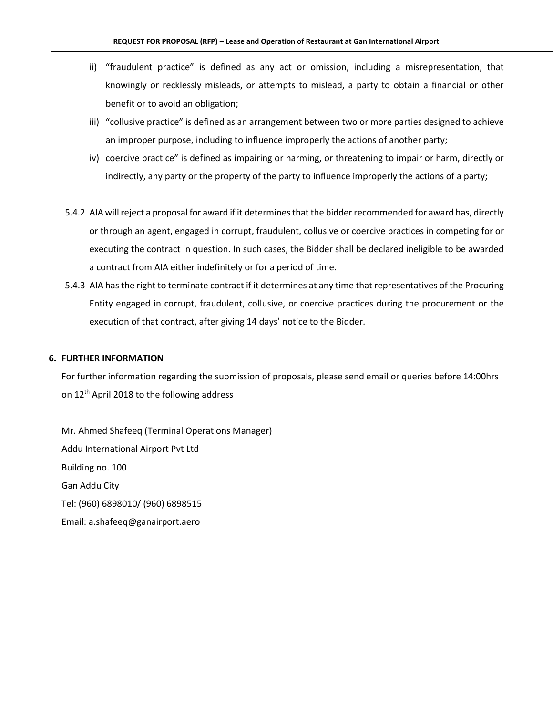- ii) "fraudulent practice" is defined as any act or omission, including a misrepresentation, that knowingly or recklessly misleads, or attempts to mislead, a party to obtain a financial or other benefit or to avoid an obligation;
- iii) "collusive practice" is defined as an arrangement between two or more parties designed to achieve an improper purpose, including to influence improperly the actions of another party;
- iv) coercive practice" is defined as impairing or harming, or threatening to impair or harm, directly or indirectly, any party or the property of the party to influence improperly the actions of a party;
- 5.4.2 AIA will reject a proposal for award if it determines that the bidder recommended for award has, directly or through an agent, engaged in corrupt, fraudulent, collusive or coercive practices in competing for or executing the contract in question. In such cases, the Bidder shall be declared ineligible to be awarded a contract from AIA either indefinitely or for a period of time.
- 5.4.3 AIA has the right to terminate contract if it determines at any time that representatives of the Procuring Entity engaged in corrupt, fraudulent, collusive, or coercive practices during the procurement or the execution of that contract, after giving 14 days' notice to the Bidder.

#### **6. FURTHER INFORMATION**

For further information regarding the submission of proposals, please send email or queries before 14:00hrs on 12<sup>th</sup> April 2018 to the following address

Mr. Ahmed Shafeeq (Terminal Operations Manager) Addu International Airport Pvt Ltd Building no. 100 Gan Addu City Tel: (960) 6898010/ (960) 6898515 Email: a.shafeeq@ganairport.aero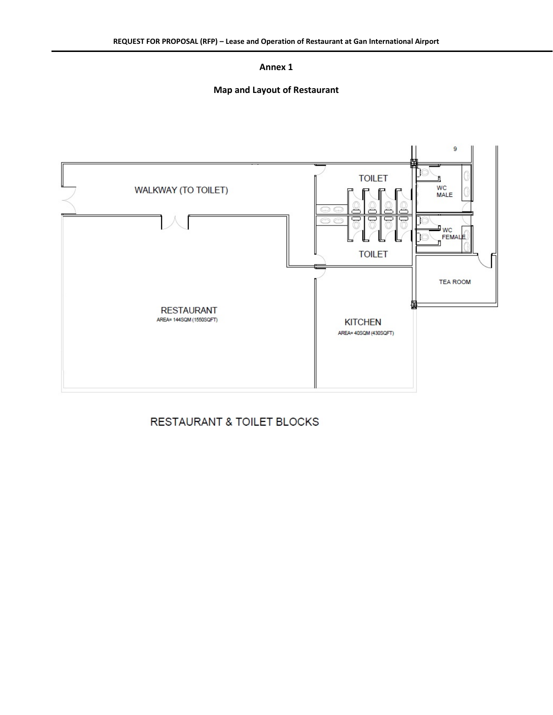### **Map and Layout of Restaurant**



### RESTAURANT & TOILET BLOCKS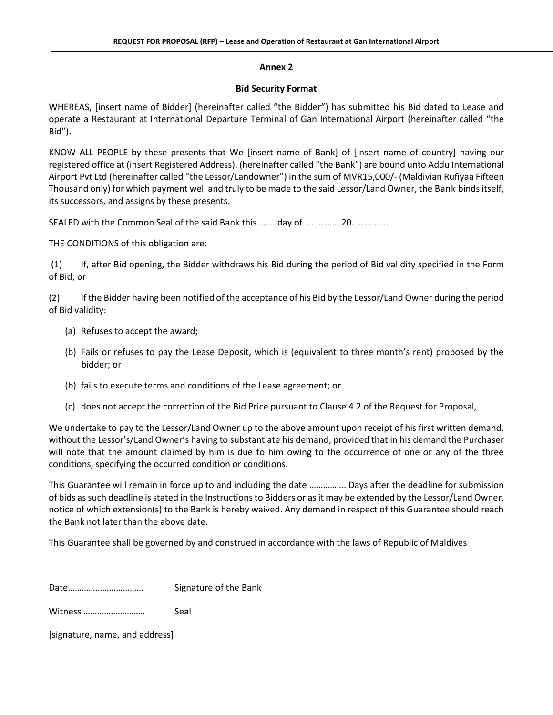#### **Bid Security Format**

WHEREAS, [insert name of Bidder] (hereinafter called "the Bidder") has submitted his Bid dated to Lease and operate a Restaurant at International Departure Terminal of Gan International Airport (hereinafter called "the Bid").

KNOW ALL PEOPLE by these presents that We [insert name of Bank] of [insert name of country] having our registered office at (insert Registered Address). (hereinafter called "the Bank") are bound unto Addu International Airport Pvt Ltd (hereinafter called "the Lessor/Landowner") in the sum of MVR15,000/- (Maldivian Rufiyaa Fifteen Thousand only) for which payment well and truly to be made to the said Lessor/Land Owner, the Bank binds itself, its successors, and assigns by these presents.

SEALED with the Common Seal of the said Bank this ……. day of …………….20…………….

THE CONDITIONS of this obligation are:

(1) If, after Bid opening, the Bidder withdraws his Bid during the period of Bid validity specified in the Form of Bid; or

(2) If the Bidder having been notified of the acceptance of his Bid by the Lessor/Land Owner during the period of Bid validity:

- (a) Refuses to accept the award;
- (b) Fails or refuses to pay the Lease Deposit, which is (equivalent to three month's rent) proposed by the bidder; or
- (b) fails to execute terms and conditions of the Lease agreement; or
- (c) does not accept the correction of the Bid Price pursuant to Clause 4.2 of the Request for Proposal,

We undertake to pay to the Lessor/Land Owner up to the above amount upon receipt of his first written demand, without the Lessor's/Land Owner's having to substantiate his demand, provided that in his demand the Purchaser will note that the amount claimed by him is due to him owing to the occurrence of one or any of the three conditions, specifying the occurred condition or conditions.

This Guarantee will remain in force up to and including the date ……………. Days after the deadline for submission of bids as such deadline is stated in the Instructions to Bidders or as it may be extended by the Lessor/Land Owner, notice of which extension(s) to the Bank is hereby waived. Any demand in respect of this Guarantee should reach the Bank not later than the above date.

This Guarantee shall be governed by and construed in accordance with the laws of Republic of Maldives

Date…………………………… Signature of the Bank

Witness ……………………… Seal

[signature, name, and address]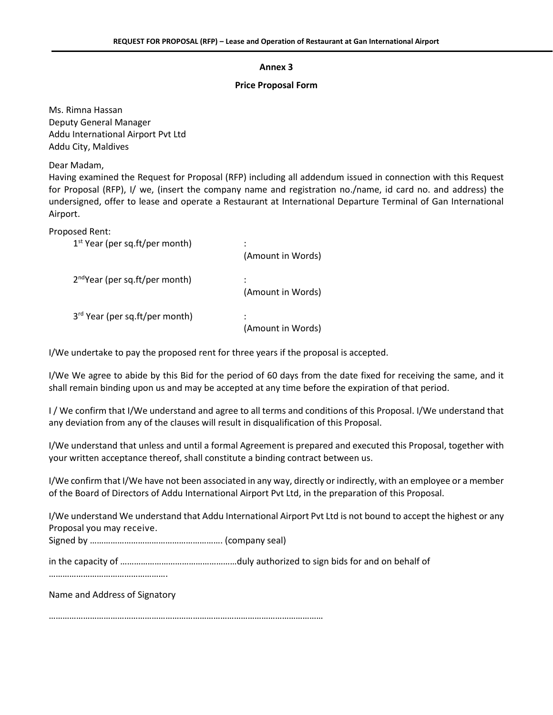#### **Price Proposal Form**

Ms. Rimna Hassan Deputy General Manager Addu International Airport Pvt Ltd Addu City, Maldives

Dear Madam,

Having examined the Request for Proposal (RFP) including all addendum issued in connection with this Request for Proposal (RFP), I/ we, (insert the company name and registration no./name, id card no. and address) the undersigned, offer to lease and operate a Restaurant at International Departure Terminal of Gan International Airport.

Proposed Rent:

| $1st$ Year (per sq.ft/per month)           | ٠<br>(Amount in Words) |
|--------------------------------------------|------------------------|
| $2^{nd}$ Year (per sq.ft/per month)        | (Amount in Words)      |
| 3 <sup>rd</sup> Year (per sq.ft/per month) | (Amount in Words)      |

I/We undertake to pay the proposed rent for three years if the proposal is accepted.

I/We We agree to abide by this Bid for the period of 60 days from the date fixed for receiving the same, and it shall remain binding upon us and may be accepted at any time before the expiration of that period.

I / We confirm that I/We understand and agree to all terms and conditions of this Proposal. I/We understand that any deviation from any of the clauses will result in disqualification of this Proposal.

I/We understand that unless and until a formal Agreement is prepared and executed this Proposal, together with your written acceptance thereof, shall constitute a binding contract between us.

I/We confirm that I/We have not been associated in any way, directly or indirectly, with an employee or a member of the Board of Directors of Addu International Airport Pvt Ltd, in the preparation of this Proposal.

I/We understand We understand that Addu International Airport Pvt Ltd is not bound to accept the highest or any Proposal you may receive.

Signed by …………………………………………………. (company seal)

in the capacity of ……………………………………………duly authorized to sign bids for and on behalf of

…………………………………………….

Name and Address of Signatory

…………………………………………………………………………………………………………